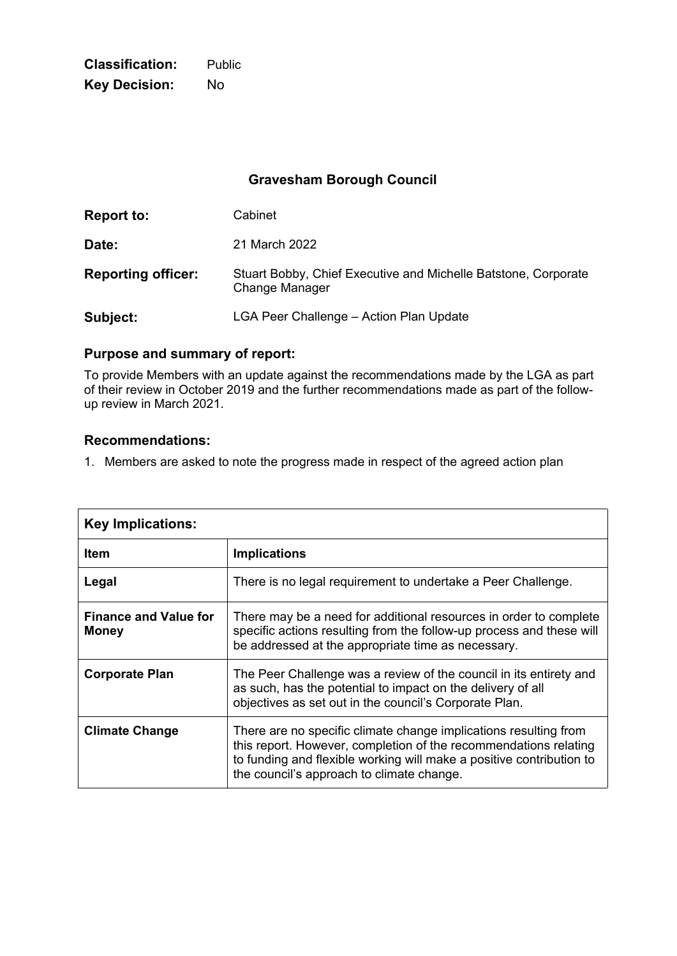**Classification:** Public **Key Decision:** No

# **Gravesham Borough Council**

| <b>Report to:</b>         | Cabinet                                                                          |
|---------------------------|----------------------------------------------------------------------------------|
| Date:                     | 21 March 2022                                                                    |
| <b>Reporting officer:</b> | Stuart Bobby, Chief Executive and Michelle Batstone, Corporate<br>Change Manager |
| Subject:                  | LGA Peer Challenge – Action Plan Update                                          |

### **Purpose and summary of report:**

To provide Members with an update against the recommendations made by the LGA as part of their review in October 2019 and the further recommendations made as part of the followup review in March 2021.

### **Recommendations:**

1. Members are asked to note the progress made in respect of the agreed action plan

| <b>Key Implications:</b>                     |                                                                                                                                                                                                                                                           |
|----------------------------------------------|-----------------------------------------------------------------------------------------------------------------------------------------------------------------------------------------------------------------------------------------------------------|
| <b>Item</b>                                  | <b>Implications</b>                                                                                                                                                                                                                                       |
| Legal                                        | There is no legal requirement to undertake a Peer Challenge.                                                                                                                                                                                              |
| <b>Finance and Value for</b><br><b>Money</b> | There may be a need for additional resources in order to complete<br>specific actions resulting from the follow-up process and these will<br>be addressed at the appropriate time as necessary.                                                           |
| <b>Corporate Plan</b>                        | The Peer Challenge was a review of the council in its entirety and<br>as such, has the potential to impact on the delivery of all<br>objectives as set out in the council's Corporate Plan.                                                               |
| <b>Climate Change</b>                        | There are no specific climate change implications resulting from<br>this report. However, completion of the recommendations relating<br>to funding and flexible working will make a positive contribution to<br>the council's approach to climate change. |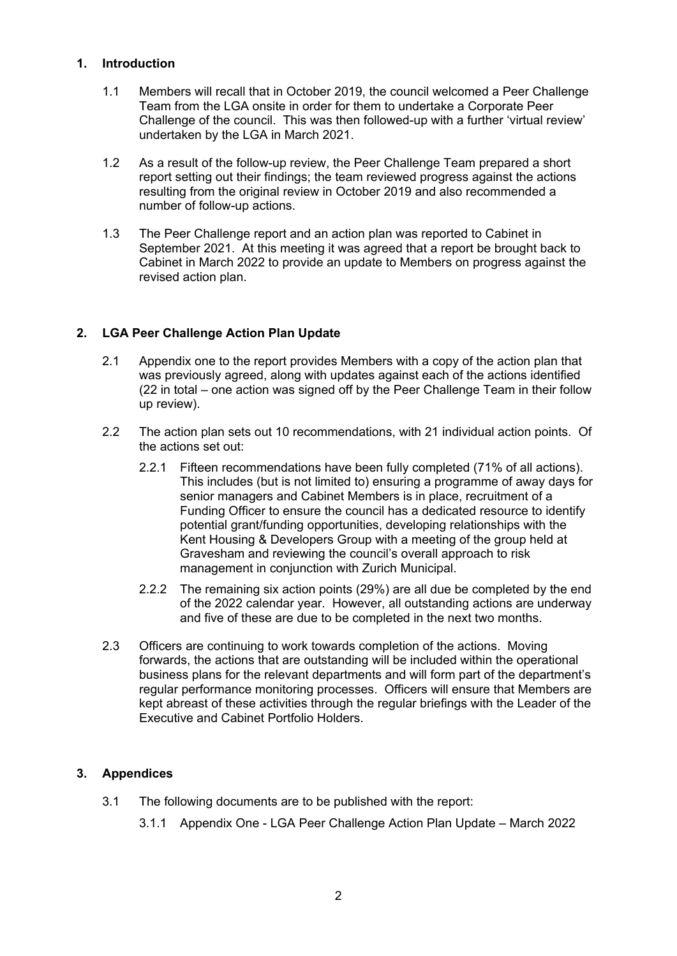### **1. Introduction**

- 1.1 Members will recall that in October 2019, the council welcomed a Peer Challenge Team from the LGA onsite in order for them to undertake a Corporate Peer Challenge of the council. This was then followed-up with a further 'virtual review' undertaken by the LGA in March 2021.
- 1.2 As a result of the follow-up review, the Peer Challenge Team prepared a short report setting out their findings; the team reviewed progress against the actions resulting from the original review in October 2019 and also recommended a number of follow-up actions.
- 1.3 The Peer Challenge report and an action plan was reported to Cabinet in September 2021. At this meeting it was agreed that a report be brought back to Cabinet in March 2022 to provide an update to Members on progress against the revised action plan.

# **2. LGA Peer Challenge Action Plan Update**

- 2.1 Appendix one to the report provides Members with a copy of the action plan that was previously agreed, along with updates against each of the actions identified (22 in total – one action was signed off by the Peer Challenge Team in their follow up review).
- 2.2 The action plan sets out 10 recommendations, with 21 individual action points. Of the actions set out:
	- 2.2.1 Fifteen recommendations have been fully completed (71% of all actions). This includes (but is not limited to) ensuring a programme of away days for senior managers and Cabinet Members is in place, recruitment of a Funding Officer to ensure the council has a dedicated resource to identify potential grant/funding opportunities, developing relationships with the Kent Housing & Developers Group with a meeting of the group held at Gravesham and reviewing the council's overall approach to risk management in conjunction with Zurich Municipal.
	- 2.2.2 The remaining six action points (29%) are all due be completed by the end of the 2022 calendar year. However, all outstanding actions are underway and five of these are due to be completed in the next two months.
- 2.3 Officers are continuing to work towards completion of the actions. Moving forwards, the actions that are outstanding will be included within the operational business plans for the relevant departments and will form part of the department's regular performance monitoring processes. Officers will ensure that Members are kept abreast of these activities through the regular briefings with the Leader of the Executive and Cabinet Portfolio Holders.

# **3. Appendices**

- 3.1 The following documents are to be published with the report:
	- 3.1.1 Appendix One LGA Peer Challenge Action Plan Update March 2022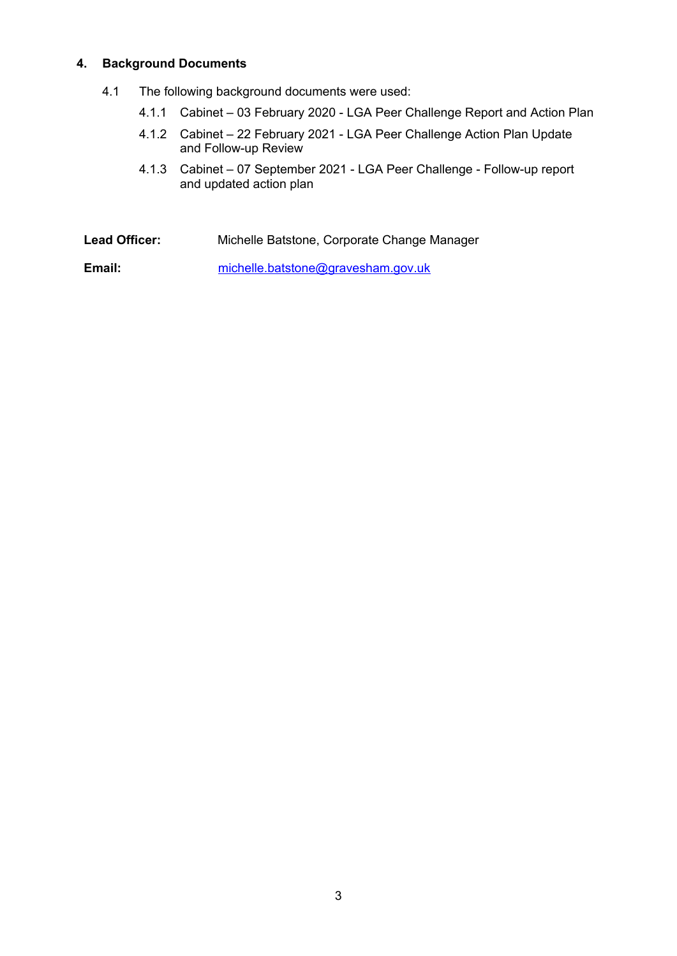#### **4. Background Documents**

- 4.1 The following background documents were used:
	- 4.1.1 Cabinet 03 February 2020 LGA Peer Challenge Report and Action Plan
	- 4.1.2 Cabinet 22 February 2021 LGA Peer Challenge Action Plan Update and Follow-up Review
	- 4.1.3 Cabinet 07 September 2021 LGA Peer Challenge Follow-up report and updated action plan

**Lead Officer:** Michelle Batstone, Corporate Change Manager **Email:** [michelle.batstone@gravesham.gov.uk](mailto:michelle.batstone@gravesham.gov.uk)